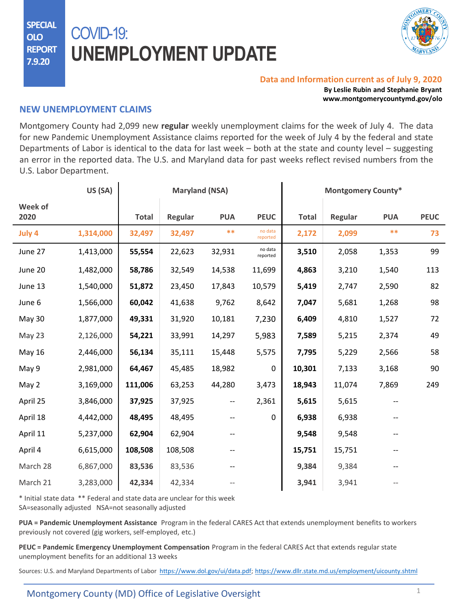**SPECIAL OLO REPORT 7.9.20**

## COVID-19: **UNEMPLOYMENT UPDATE**



## **Data and Information current as of July 9, 2020**

**By Leslie Rubin and Stephanie Bryant www.montgomerycountymd.gov/olo**

## **NEW UNEMPLOYMENT CLAIMS**

Montgomery County had 2,099 new **regular** weekly unemployment claims for the week of July 4. The data for new Pandemic Unemployment Assistance claims reported for the week of July 4 by the federal and state Departments of Labor is identical to the data for last week – both at the state and county level – suggesting an error in the reported data. The U.S. and Maryland data for past weeks reflect revised numbers from the U.S. Labor Department.

|                 | US (SA)   | <b>Maryland (NSA)</b> |         |            | <b>Montgomery County*</b> |              |         |            |             |
|-----------------|-----------|-----------------------|---------|------------|---------------------------|--------------|---------|------------|-------------|
| Week of<br>2020 |           | <b>Total</b>          | Regular | <b>PUA</b> | <b>PEUC</b>               | <b>Total</b> | Regular | <b>PUA</b> | <b>PEUC</b> |
| July 4          | 1,314,000 | 32,497                | 32,497  | $***$      | no data<br>reported       | 2,172        | 2,099   | $***$      | 73          |
| June 27         | 1,413,000 | 55,554                | 22,623  | 32,931     | no data<br>reported       | 3,510        | 2,058   | 1,353      | 99          |
| June 20         | 1,482,000 | 58,786                | 32,549  | 14,538     | 11,699                    | 4,863        | 3,210   | 1,540      | 113         |
| June 13         | 1,540,000 | 51,872                | 23,450  | 17,843     | 10,579                    | 5,419        | 2,747   | 2,590      | 82          |
| June 6          | 1,566,000 | 60,042                | 41,638  | 9,762      | 8,642                     | 7,047        | 5,681   | 1,268      | 98          |
| <b>May 30</b>   | 1,877,000 | 49,331                | 31,920  | 10,181     | 7,230                     | 6,409        | 4,810   | 1,527      | 72          |
| May 23          | 2,126,000 | 54,221                | 33,991  | 14,297     | 5,983                     | 7,589        | 5,215   | 2,374      | 49          |
| <b>May 16</b>   | 2,446,000 | 56,134                | 35,111  | 15,448     | 5,575                     | 7,795        | 5,229   | 2,566      | 58          |
| May 9           | 2,981,000 | 64,467                | 45,485  | 18,982     | 0                         | 10,301       | 7,133   | 3,168      | 90          |
| May 2           | 3,169,000 | 111,006               | 63,253  | 44,280     | 3,473                     | 18,943       | 11,074  | 7,869      | 249         |
| April 25        | 3,846,000 | 37,925                | 37,925  | --         | 2,361                     | 5,615        | 5,615   |            |             |
| April 18        | 4,442,000 | 48,495                | 48,495  |            | 0                         | 6,938        | 6,938   |            |             |
| April 11        | 5,237,000 | 62,904                | 62,904  |            |                           | 9,548        | 9,548   |            |             |
| April 4         | 6,615,000 | 108,508               | 108,508 |            |                           | 15,751       | 15,751  |            |             |
| March 28        | 6,867,000 | 83,536                | 83,536  |            |                           | 9,384        | 9,384   |            |             |
| March 21        | 3,283,000 | 42,334                | 42,334  |            |                           | 3,941        | 3,941   |            |             |

\* Initial state data \*\* Federal and state data are unclear for this week

SA=seasonally adjusted NSA=not seasonally adjusted

**PUA = Pandemic Unemployment Assistance** Program in the federal CARES Act that extends unemployment benefits to workers previously not covered (gig workers, self-employed, etc.)

**PEUC = Pandemic Emergency Unemployment Compensation** Program in the federal CARES Act that extends regular state unemployment benefits for an additional 13 weeks

Sources: U.S. and Maryland Departments of Labor <https://www.dol.gov/ui/data.pdf>; <https://www.dllr.state.md.us/employment/uicounty.shtml>